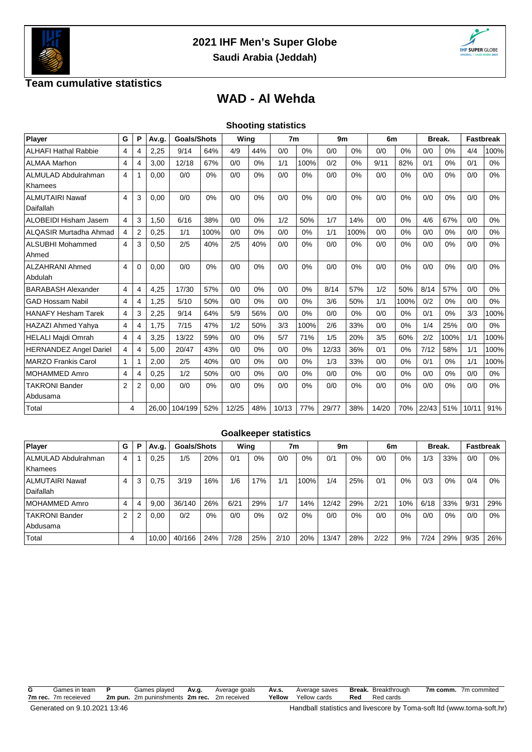



## **Team cumulative statistics**

## **WAD - Al Wehda**

|                               |                       |                |       |                    |      |       |     | <b>Shooting statistics</b> |      |                |      |       |      |        |      |                  |      |
|-------------------------------|-----------------------|----------------|-------|--------------------|------|-------|-----|----------------------------|------|----------------|------|-------|------|--------|------|------------------|------|
| Player                        | G                     | P              | Av.g. | <b>Goals/Shots</b> |      | Wing  |     | 7 <sub>m</sub>             |      | 9 <sub>m</sub> |      | 6m    |      | Break. |      | <b>Fastbreak</b> |      |
| <b>ALHAFI Hathal Rabbie</b>   | 4                     | 4              | 2,25  | 9/14               | 64%  | 4/9   | 44% | 0/0                        | 0%   | 0/0            | 0%   | 0/0   | 0%   | 0/0    | 0%   | 4/4              | 100% |
| <b>ALMAA Marhon</b>           | 4                     | 4              | 3,00  | 12/18              | 67%  | 0/0   | 0%  | 1/1                        | 100% | 0/2            | 0%   | 9/11  | 82%  | 0/1    | 0%   | 0/1              | 0%   |
| <b>ALMULAD Abdulrahman</b>    | 4                     |                | 0,00  | 0/0                | 0%   | 0/0   | 0%  | 0/0                        | 0%   | 0/0            | 0%   | 0/0   | 0%   | 0/0    | 0%   | 0/0              | 0%   |
| Khamees                       |                       |                |       |                    |      |       |     |                            |      |                |      |       |      |        |      |                  |      |
| <b>ALMUTAIRI Nawaf</b>        | $\boldsymbol{\Delta}$ | 3              | 0.00  | 0/0                | 0%   | 0/0   | 0%  | 0/0                        | 0%   | 0/0            | 0%   | 0/0   | 0%   | 0/0    | 0%   | 0/0              | 0%   |
| Daifallah                     |                       |                |       |                    |      |       |     |                            |      |                |      |       |      |        |      |                  |      |
| ALOBEIDI Hisham Jasem         | 4                     | 3              | 1.50  | 6/16               | 38%  | 0/0   | 0%  | 1/2                        | 50%  | 1/7            | 14%  | 0/0   | 0%   | 4/6    | 67%  | 0/0              | 0%   |
| <b>ALQASIR Murtadha Ahmad</b> | 4                     | 2              | 0,25  | 1/1                | 100% | 0/0   | 0%  | 0/0                        | 0%   | 1/1            | 100% | 0/0   | 0%   | 0/0    | 0%   | 0/0              | 0%   |
| <b>ALSUBHI Mohammed</b>       | 4                     | 3              | 0,50  | 2/5                | 40%  | 2/5   | 40% | 0/0                        | 0%   | 0/0            | 0%   | 0/0   | 0%   | 0/0    | 0%   | 0/0              | 0%   |
| Ahmed                         |                       |                |       |                    |      |       |     |                            |      |                |      |       |      |        |      |                  |      |
| <b>ALZAHRANI Ahmed</b>        | 4                     | $\Omega$       | 0.00  | 0/0                | 0%   | 0/0   | 0%  | 0/0                        | 0%   | 0/0            | 0%   | 0/0   | 0%   | 0/0    | 0%   | 0/0              | 0%   |
| Abdulah                       |                       |                |       |                    |      |       |     |                            |      |                |      |       |      |        |      |                  |      |
| <b>BARABASH Alexander</b>     | 4                     | $\overline{4}$ | 4,25  | 17/30              | 57%  | 0/0   | 0%  | 0/0                        | 0%   | 8/14           | 57%  | 1/2   | 50%  | 8/14   | 57%  | 0/0              | 0%   |
| <b>GAD Hossam Nabil</b>       | 4                     | 4              | 1,25  | 5/10               | 50%  | 0/0   | 0%  | 0/0                        | 0%   | 3/6            | 50%  | 1/1   | 100% | 0/2    | 0%   | 0/0              | 0%   |
| <b>HANAFY Hesham Tarek</b>    | 4                     | 3              | 2,25  | 9/14               | 64%  | 5/9   | 56% | 0/0                        | 0%   | 0/0            | 0%   | 0/0   | 0%   | 0/1    | 0%   | 3/3              | 100% |
| HAZAZI Ahmed Yahya            | 4                     | 4              | 1,75  | 7/15               | 47%  | 1/2   | 50% | 3/3                        | 100% | 2/6            | 33%  | 0/0   | 0%   | 1/4    | 25%  | 0/0              | 0%   |
| <b>HELALI Majdi Omrah</b>     | 4                     | 4              | 3,25  | 13/22              | 59%  | 0/0   | 0%  | 5/7                        | 71%  | 1/5            | 20%  | 3/5   | 60%  | 2/2    | 100% | 1/1              | 100% |
| <b>HERNANDEZ Angel Dariel</b> | 4                     | 4              | 5,00  | 20/47              | 43%  | 0/0   | 0%  | 0/0                        | 0%   | 12/33          | 36%  | 0/1   | 0%   | 7/12   | 58%  | 1/1              | 100% |
| <b>MARZO Frankis Carol</b>    | 1                     |                | 2,00  | 2/5                | 40%  | 0/0   | 0%  | 0/0                        | 0%   | 1/3            | 33%  | 0/0   | 0%   | 0/1    | 0%   | 1/1              | 100% |
| <b>MOHAMMED Amro</b>          | $\overline{4}$        | 4              | 0,25  | 1/2                | 50%  | 0/0   | 0%  | 0/0                        | 0%   | 0/0            | 0%   | 0/0   | 0%   | 0/0    | 0%   | 0/0              | 0%   |
| <b>TAKRONI Bander</b>         | $\overline{2}$        | 2              | 0,00  | 0/0                | 0%   | 0/0   | 0%  | 0/0                        | 0%   | 0/0            | 0%   | 0/0   | 0%   | 0/0    | 0%   | 0/0              | 0%   |
| Abdusama                      |                       |                |       |                    |      |       |     |                            |      |                |      |       |      |        |      |                  |      |
| Total                         |                       | 4              | 26.00 | 104/199            | 52%  | 12/25 | 48% | 10/13                      | 77%  | 29/77          | 38%  | 14/20 | 70%  | 22/43  | 51%  | 10/11            | 91%  |

| <b>Goalkeeper statistics</b>        |   |   |       |                    |     |      |       |      |      |       |     |      |     |        |       |                  |       |
|-------------------------------------|---|---|-------|--------------------|-----|------|-------|------|------|-------|-----|------|-----|--------|-------|------------------|-------|
| Player                              | G | P | Av.g. | <b>Goals/Shots</b> |     | Wina |       | 7m   |      | 9m    |     | 6m   |     | Break. |       | <b>Fastbreak</b> |       |
| ALMULAD Abdulrahman<br>Khamees      | 4 |   | 0.25  | 1/5                | 20% | 0/1  | 0%    | 0/0  | 0%   | 0/1   | 0%  | 0/0  | 0%  | 1/3    | 33%   | 0/0              | $0\%$ |
| <b>ALMUTAIRI Nawaf</b><br>Daifallah | 4 | 3 | 0.75  | 3/19               | 16% | 1/6  | 17%   | 1/1  | 100% | 1/4   | 25% | 0/1  | 0%  | 0/3    | $0\%$ | 0/4              | 0%    |
| MOHAMMED Amro                       | 4 | 4 | 9,00  | 36/140             | 26% | 6/21 | 29%   | 1/7  | 14%  | 12/42 | 29% | 2/21 | 10% | 6/18   | 33%   | 9/31             | 29%   |
| TAKRONI Bander<br>Abdusama          | 2 |   | 0,00  | 0/2                | 0%  | 0/0  | $0\%$ | 0/2  | 0%   | 0/0   | 0%  | 0/0  | 0%  | 0/0    | $0\%$ | 0/0              | $0\%$ |
| Total                               |   | 4 | 10.00 | 40/166             | 24% | 7/28 | 25%   | 2/10 | 20%  | 13/47 | 28% | 2/22 | 9%  | 7/24   | 29%   | 9/35             | 26%   |

**G** Games in team **P** Games played **Av.g.** Average goals **Av.s.** Average saves **Break.** Breakthrough **7m comm.** 7m commited **7m rec.** 7m receieved **2m pun.** 2m puninshments **2m rec.** 2m received **Yellow** Yellow cards **Red** Red cards